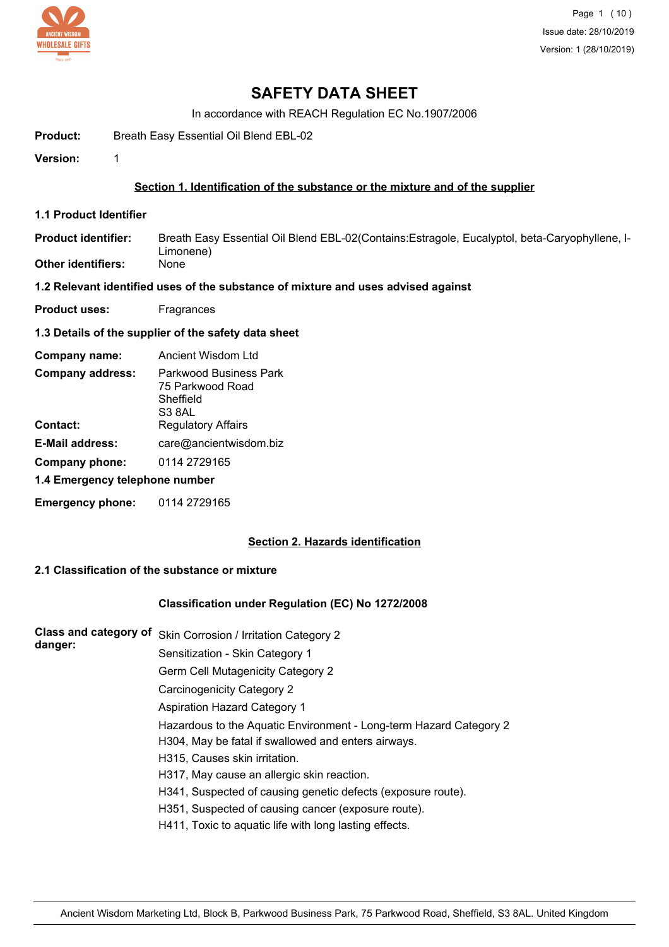

Page 1 (10) Issue date: 28/10/2019 Version: 1 (28/10/2019)

# **SAFETY DATA SHEET**

In accordance with REACH Regulation EC No.1907/2006

Product: Breath Easy Essential Oil Blend EBL-02

**Version:** 1

#### **Section 1. Identification of the substance or the mixture and of the supplier**

**1.1 Product Identifier**

Breath Easy Essential Oil Blend EBL-02(Contains:Estragole, Eucalyptol, beta-Caryophyllene, l-Limonene)<br>None **Product identifier: Other identifiers:** 

**1.2 Relevant identified uses of the substance of mixture and uses advised against**

**Product uses:** Fragrances

#### **1.3 Details of the supplier of the safety data sheet**

| Company name:                  | Ancient Wisdom Ltd                                                |
|--------------------------------|-------------------------------------------------------------------|
| <b>Company address:</b>        | Parkwood Business Park<br>75 Parkwood Road<br>Sheffield<br>S3 8AL |
| Contact:                       | <b>Regulatory Affairs</b>                                         |
| E-Mail address:                | care@ancientwisdom.biz                                            |
| Company phone:                 | 0114 2729165                                                      |
| 1.4 Emergency telephone number |                                                                   |

## **Emergency phone:** 0114 2729165

### **Section 2. Hazards identification**

### **2.1 Classification of the substance or mixture**

#### **Classification under Regulation (EC) No 1272/2008**

| <b>Class and category of</b> | Skin Corrosion / Irritation Category 2                             |
|------------------------------|--------------------------------------------------------------------|
| danger:                      | Sensitization - Skin Category 1                                    |
|                              | Germ Cell Mutagenicity Category 2                                  |
|                              | Carcinogenicity Category 2                                         |
|                              | <b>Aspiration Hazard Category 1</b>                                |
|                              | Hazardous to the Aquatic Environment - Long-term Hazard Category 2 |
|                              | H304, May be fatal if swallowed and enters airways.                |
|                              | H315, Causes skin irritation.                                      |
|                              | H317, May cause an allergic skin reaction.                         |
|                              | H341, Suspected of causing genetic defects (exposure route).       |
|                              | H351, Suspected of causing cancer (exposure route).                |
|                              | H411, Toxic to aquatic life with long lasting effects.             |
|                              |                                                                    |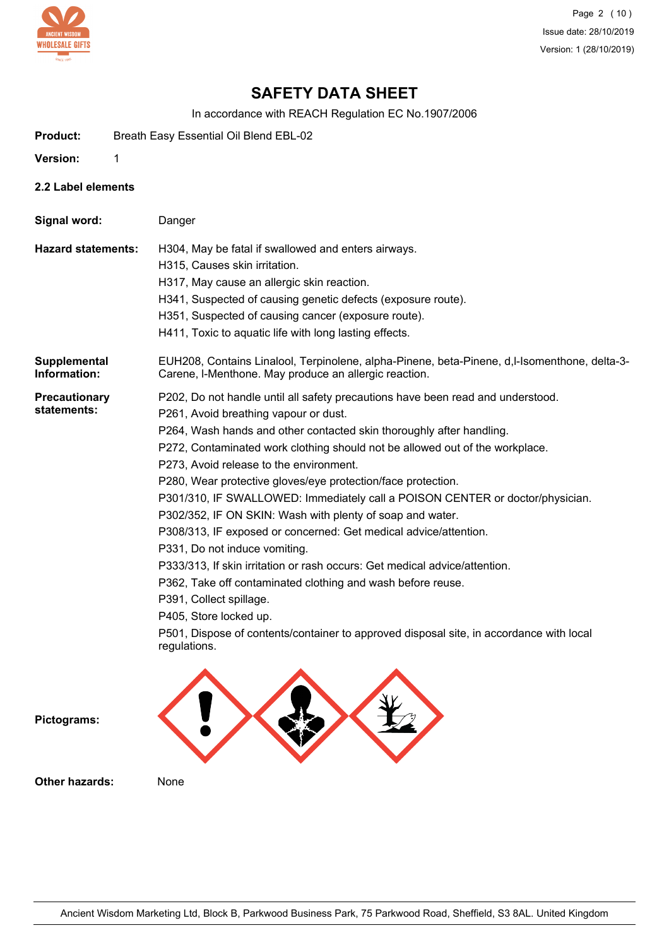

Page 2 (10) Issue date: 28/10/2019 Version: 1 (28/10/2019)

# **SAFETY DATA SHEET**

In accordance with REACH Regulation EC No.1907/2006

- **Product:** Breath Easy Essential Oil Blend EBL-02
- **Version:** 1
- **2.2 Label elements**

| Signal word:                        | Danger                                                                                                                                                                                                                                                                                                                                                                                                                                                                                                                                                                                                                                                                                                                                                                                                                                                                                                                                                      |
|-------------------------------------|-------------------------------------------------------------------------------------------------------------------------------------------------------------------------------------------------------------------------------------------------------------------------------------------------------------------------------------------------------------------------------------------------------------------------------------------------------------------------------------------------------------------------------------------------------------------------------------------------------------------------------------------------------------------------------------------------------------------------------------------------------------------------------------------------------------------------------------------------------------------------------------------------------------------------------------------------------------|
| <b>Hazard statements:</b>           | H304, May be fatal if swallowed and enters airways.<br>H315, Causes skin irritation.<br>H317, May cause an allergic skin reaction.<br>H341, Suspected of causing genetic defects (exposure route).<br>H351, Suspected of causing cancer (exposure route).<br>H411, Toxic to aquatic life with long lasting effects.                                                                                                                                                                                                                                                                                                                                                                                                                                                                                                                                                                                                                                         |
| Supplemental<br>Information:        | EUH208, Contains Linalool, Terpinolene, alpha-Pinene, beta-Pinene, d,l-Isomenthone, delta-3-<br>Carene, I-Menthone. May produce an allergic reaction.                                                                                                                                                                                                                                                                                                                                                                                                                                                                                                                                                                                                                                                                                                                                                                                                       |
| <b>Precautionary</b><br>statements: | P202, Do not handle until all safety precautions have been read and understood.<br>P261, Avoid breathing vapour or dust.<br>P264, Wash hands and other contacted skin thoroughly after handling.<br>P272, Contaminated work clothing should not be allowed out of the workplace.<br>P273, Avoid release to the environment.<br>P280, Wear protective gloves/eye protection/face protection.<br>P301/310, IF SWALLOWED: Immediately call a POISON CENTER or doctor/physician.<br>P302/352, IF ON SKIN: Wash with plenty of soap and water.<br>P308/313, IF exposed or concerned: Get medical advice/attention.<br>P331, Do not induce vomiting.<br>P333/313, If skin irritation or rash occurs: Get medical advice/attention.<br>P362, Take off contaminated clothing and wash before reuse.<br>P391, Collect spillage.<br>P405, Store locked up.<br>P501, Dispose of contents/container to approved disposal site, in accordance with local<br>regulations. |
| Pictograms:                         |                                                                                                                                                                                                                                                                                                                                                                                                                                                                                                                                                                                                                                                                                                                                                                                                                                                                                                                                                             |

**Other hazards:** None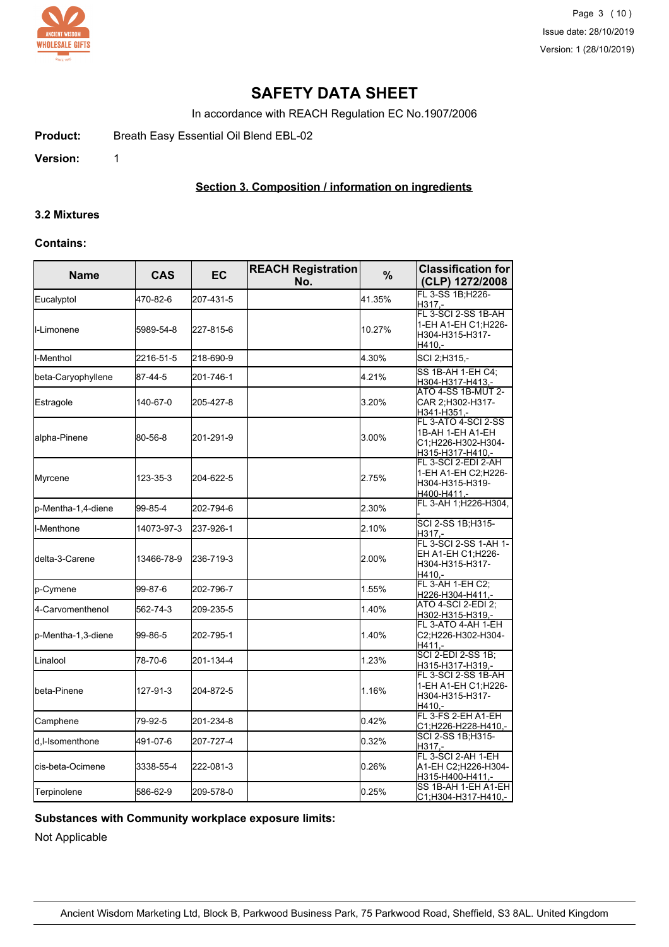

Page 3 (10) Issue date: 28/10/2019 Version: 1 (28/10/2019)

# **SAFETY DATA SHEET**

In accordance with REACH Regulation EC No.1907/2006

Product: Breath Easy Essential Oil Blend EBL-02

**Version:** 1

## **Section 3. Composition / information on ingredients**

#### **3.2 Mixtures**

#### **Contains:**

| <b>Name</b>         | <b>CAS</b> | <b>EC</b> | <b>REACH Registration</b><br>No. | $\frac{0}{0}$ | <b>Classification for</b><br>(CLP) 1272/2008                                      |
|---------------------|------------|-----------|----------------------------------|---------------|-----------------------------------------------------------------------------------|
| Eucalyptol          | 470-82-6   | 207-431-5 |                                  | 41.35%        | FL 3-SS 1B;H226-<br>H317.-                                                        |
| <b>I</b> I-Limonene | 5989-54-8  | 227-815-6 |                                  | 10.27%        | FL 3-SCI 2-SS 1B-AH<br>1-EH A1-EH C1;H226-<br>H304-H315-H317-<br>H410,-           |
| ll-Menthol          | 2216-51-5  | 218-690-9 |                                  | 4.30%         | SCI 2;H315,-                                                                      |
| beta-Caryophyllene  | 87-44-5    | 201-746-1 |                                  | 4.21%         | SS 1B-AH 1-EH C4:<br>H304-H317-H413,-                                             |
| Estragole           | 140-67-0   | 205-427-8 |                                  | 3.20%         | ATO 4-SS 1B-MUT 2-<br>CAR 2;H302-H317-<br>H341-H351,-                             |
| alpha-Pinene        | 80-56-8    | 201-291-9 |                                  | 3.00%         | FL 3-ATO 4-SCI 2-SS<br>1B-AH 1-EH A1-EH<br>C1;H226-H302-H304-<br>H315-H317-H410,- |
| Myrcene             | 123-35-3   | 204-622-5 |                                  | 2.75%         | FL 3-SCI 2-EDI 2-AH<br>1-EH A1-EH C2:H226-<br>H304-H315-H319-<br>H400-H411.-      |
| p-Mentha-1,4-diene  | 99-85-4    | 202-794-6 |                                  | 2.30%         | FL 3-AH 1; H226-H304,                                                             |
| I-Menthone          | 14073-97-3 | 237-926-1 |                                  | 2.10%         | SCI 2-SS 1B;H315-<br>H317.-                                                       |
| ldelta-3-Carene     | 13466-78-9 | 236-719-3 |                                  | 2.00%         | FL 3-SCI 2-SS 1-AH 1-<br>EH A1-EH C1;H226-<br>H304-H315-H317-<br>H410,-           |
| p-Cymene            | 99-87-6    | 202-796-7 |                                  | 1.55%         | FL 3-AH 1-EH C2;<br>H226-H304-H411,-                                              |
| 4-Carvomenthenol    | 562-74-3   | 209-235-5 |                                  | 1.40%         | ATO 4-SCI 2-EDI 2;<br>H302-H315-H319,-                                            |
| p-Mentha-1,3-diene  | 99-86-5    | 202-795-1 |                                  | 1.40%         | FL 3-ATO 4-AH 1-EH<br>C2;H226-H302-H304-<br>H411.-                                |
| Linalool            | 78-70-6    | 201-134-4 |                                  | 1.23%         | SCI 2-EDI 2-SS 1B;<br>H315-H317-H319,-                                            |
| lbeta-Pinene        | 127-91-3   | 204-872-5 |                                  | 1.16%         | FL 3-SCI 2-SS 1B-AH<br>1-EH A1-EH C1;H226-<br>H304-H315-H317-<br>H410.-           |
| Camphene            | 79-92-5    | 201-234-8 |                                  | 0.42%         | FL 3-FS 2-EH A1-EH<br>C1;H226-H228-H410,-                                         |
| d,I-Isomenthone     | 491-07-6   | 207-727-4 |                                  | 0.32%         | SCI 2-SS 1B:H315-<br>H317.-                                                       |
| cis-beta-Ocimene    | 3338-55-4  | 222-081-3 |                                  | 0.26%         | FL 3-SCI 2-AH 1-EH<br>A1-EH C2;H226-H304-<br>H315-H400-H411,-                     |
| Terpinolene         | 586-62-9   | 209-578-0 |                                  | 0.25%         | SS 1B-AH 1-EH A1-EH<br>C1;H304-H317-H410,-                                        |

## **Substances with Community workplace exposure limits:**

Not Applicable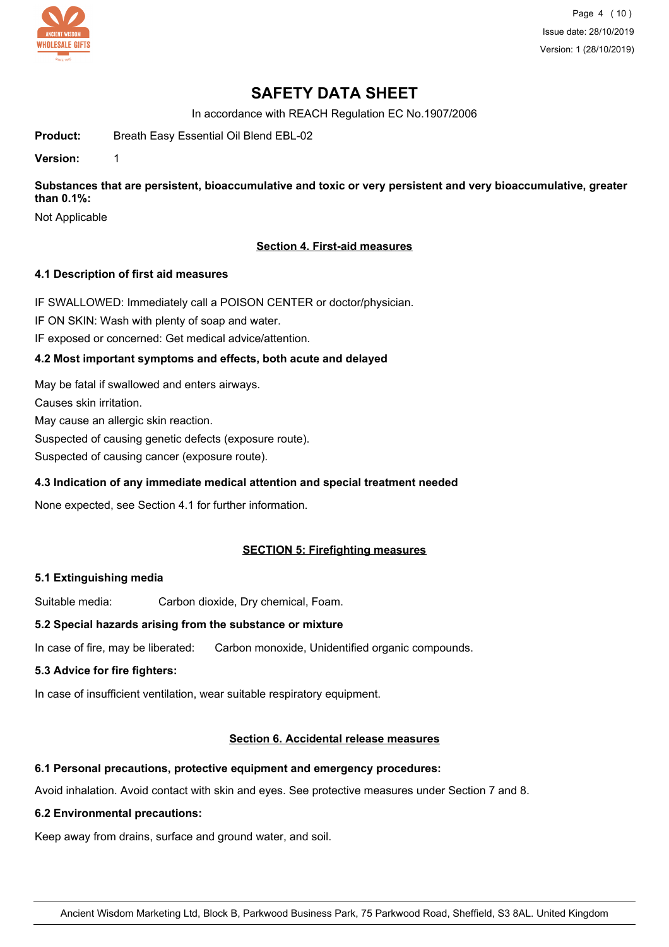

Page 4 (10) Issue date: 28/10/2019 Version: 1 (28/10/2019)

# **SAFETY DATA SHEET**

In accordance with REACH Regulation EC No.1907/2006

**Product:** Breath Easy Essential Oil Blend EBL-02

**Version:** 1

**Substances that are persistent, bioaccumulative and toxic or very persistent and very bioaccumulative, greater than 0.1%:**

Not Applicable

## **Section 4. First-aid measures**

### **4.1 Description of first aid measures**

IF SWALLOWED: Immediately call a POISON CENTER or doctor/physician.

IF ON SKIN: Wash with plenty of soap and water.

IF exposed or concerned: Get medical advice/attention.

## **4.2 Most important symptoms and effects, both acute and delayed**

May be fatal if swallowed and enters airways.

Causes skin irritation.

May cause an allergic skin reaction.

Suspected of causing genetic defects (exposure route).

Suspected of causing cancer (exposure route).

## **4.3 Indication of any immediate medical attention and special treatment needed**

None expected, see Section 4.1 for further information.

## **SECTION 5: Firefighting measures**

### **5.1 Extinguishing media**

Suitable media: Carbon dioxide, Dry chemical, Foam.

### **5.2 Special hazards arising from the substance or mixture**

In case of fire, may be liberated: Carbon monoxide, Unidentified organic compounds.

## **5.3 Advice for fire fighters:**

In case of insufficient ventilation, wear suitable respiratory equipment.

### **Section 6. Accidental release measures**

### **6.1 Personal precautions, protective equipment and emergency procedures:**

Avoid inhalation. Avoid contact with skin and eyes. See protective measures under Section 7 and 8.

### **6.2 Environmental precautions:**

Keep away from drains, surface and ground water, and soil.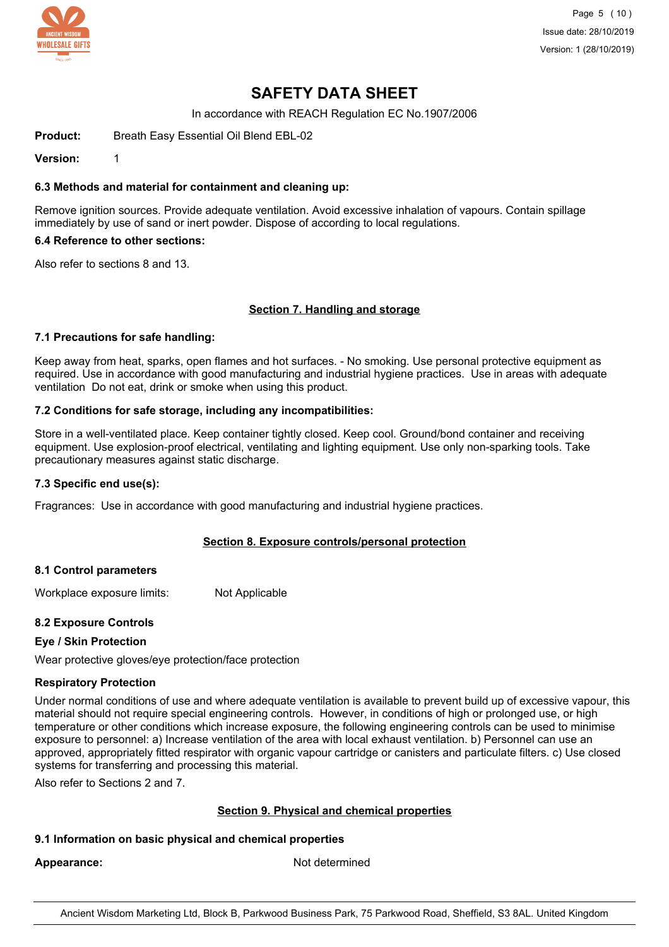

Page 5 (10) Issue date: 28/10/2019 Version: 1 (28/10/2019)

# **SAFETY DATA SHEET**

In accordance with REACH Regulation EC No.1907/2006

**Product:** Breath Easy Essential Oil Blend EBL-02

**Version:** 1

#### **6.3 Methods and material for containment and cleaning up:**

Remove ignition sources. Provide adequate ventilation. Avoid excessive inhalation of vapours. Contain spillage immediately by use of sand or inert powder. Dispose of according to local regulations.

#### **6.4 Reference to other sections:**

Also refer to sections 8 and 13.

### **Section 7. Handling and storage**

#### **7.1 Precautions for safe handling:**

Keep away from heat, sparks, open flames and hot surfaces. - No smoking. Use personal protective equipment as required. Use in accordance with good manufacturing and industrial hygiene practices. Use in areas with adequate ventilation Do not eat, drink or smoke when using this product.

#### **7.2 Conditions for safe storage, including any incompatibilities:**

Store in a well-ventilated place. Keep container tightly closed. Keep cool. Ground/bond container and receiving equipment. Use explosion-proof electrical, ventilating and lighting equipment. Use only non-sparking tools. Take precautionary measures against static discharge.

#### **7.3 Specific end use(s):**

Fragrances: Use in accordance with good manufacturing and industrial hygiene practices.

### **Section 8. Exposure controls/personal protection**

#### **8.1 Control parameters**

Workplace exposure limits: Not Applicable

### **8.2 Exposure Controls**

### **Eye / Skin Protection**

Wear protective gloves/eye protection/face protection

#### **Respiratory Protection**

Under normal conditions of use and where adequate ventilation is available to prevent build up of excessive vapour, this material should not require special engineering controls. However, in conditions of high or prolonged use, or high temperature or other conditions which increase exposure, the following engineering controls can be used to minimise exposure to personnel: a) Increase ventilation of the area with local exhaust ventilation. b) Personnel can use an approved, appropriately fitted respirator with organic vapour cartridge or canisters and particulate filters. c) Use closed systems for transferring and processing this material.

Also refer to Sections 2 and 7.

### **Section 9. Physical and chemical properties**

### **9.1 Information on basic physical and chemical properties**

Appearance: Not determined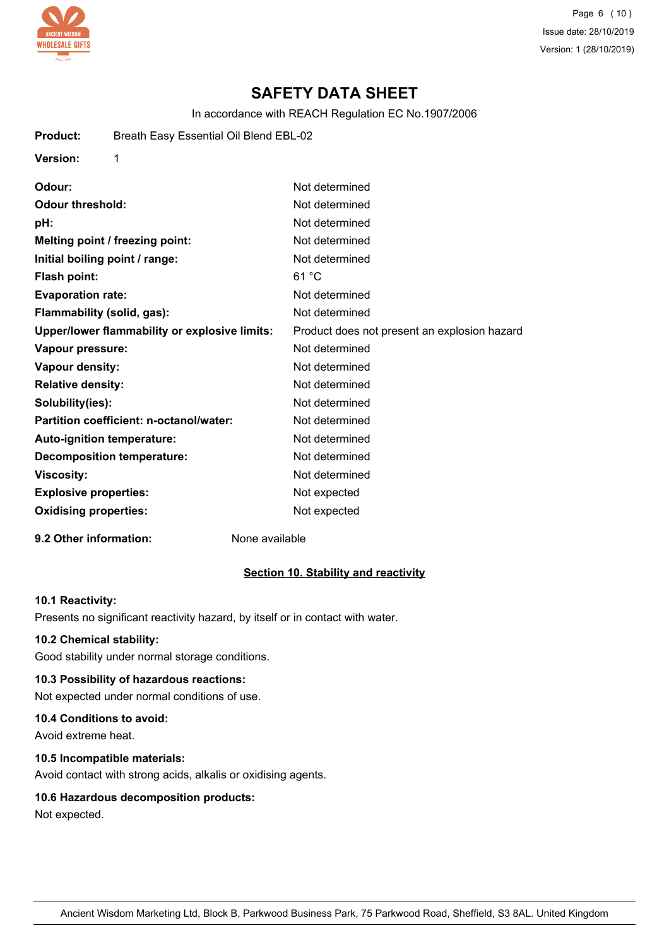

**Version:** 1

Page 6 (10) Issue date: 28/10/2019 Version: 1 (28/10/2019)

# **SAFETY DATA SHEET**

In accordance with REACH Regulation EC No.1907/2006

| Odour:                                        | Not determined                               |
|-----------------------------------------------|----------------------------------------------|
| <b>Odour threshold:</b>                       | Not determined                               |
| pH:                                           | Not determined                               |
| Melting point / freezing point:               | Not determined                               |
| Initial boiling point / range:                | Not determined                               |
| Flash point:                                  | 61 °C                                        |
| <b>Evaporation rate:</b>                      | Not determined                               |
| Flammability (solid, gas):                    | Not determined                               |
| Upper/lower flammability or explosive limits: | Product does not present an explosion hazard |
| Vapour pressure:                              | Not determined                               |
| <b>Vapour density:</b>                        | Not determined                               |
| <b>Relative density:</b>                      | Not determined                               |
| Solubility(ies):                              | Not determined                               |
| Partition coefficient: n-octanol/water:       | Not determined                               |
| Auto-ignition temperature:                    | Not determined                               |
| <b>Decomposition temperature:</b>             | Not determined                               |
| <b>Viscosity:</b>                             | Not determined                               |
| <b>Explosive properties:</b>                  | Not expected                                 |
| <b>Oxidising properties:</b>                  | Not expected                                 |
|                                               |                                              |

### **9.2 Other information:** None available

#### **Section 10. Stability and reactivity**

#### **10.1 Reactivity:**

Presents no significant reactivity hazard, by itself or in contact with water.

#### **10.2 Chemical stability:**

Good stability under normal storage conditions.

## **10.3 Possibility of hazardous reactions:**

Not expected under normal conditions of use.

#### **10.4 Conditions to avoid:**

Avoid extreme heat.

#### **10.5 Incompatible materials:**

Avoid contact with strong acids, alkalis or oxidising agents.

### **10.6 Hazardous decomposition products:**

Not expected.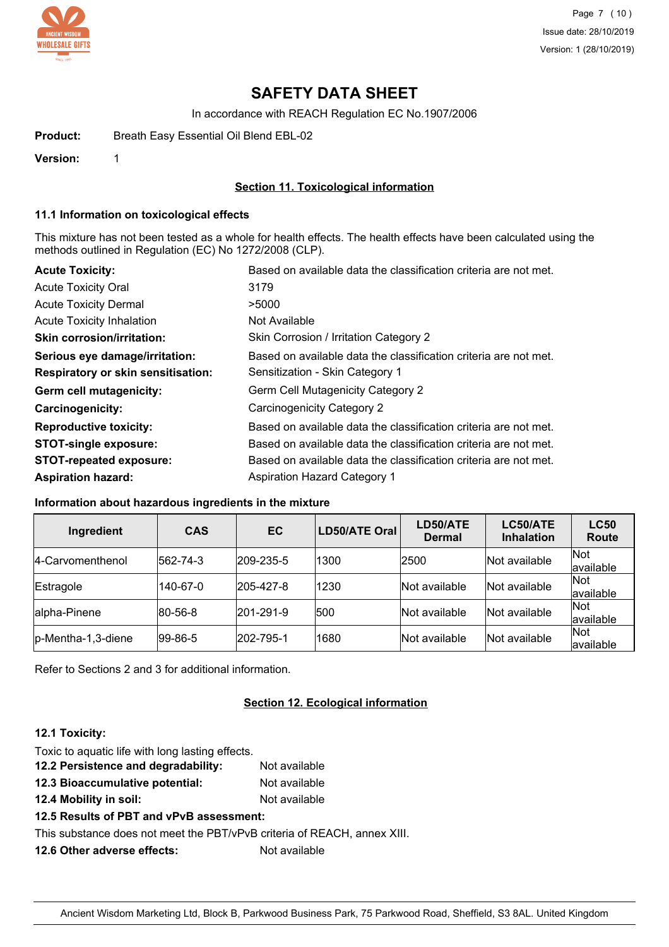

Page 7 (10) Issue date: 28/10/2019 Version: 1 (28/10/2019)

# **SAFETY DATA SHEET**

In accordance with REACH Regulation EC No.1907/2006

**Product:** Breath Easy Essential Oil Blend EBL-02

**Version:** 1

### **Section 11. Toxicological information**

#### **11.1 Information on toxicological effects**

This mixture has not been tested as a whole for health effects. The health effects have been calculated using the methods outlined in Regulation (EC) No 1272/2008 (CLP).

| <b>Acute Toxicity:</b>                    | Based on available data the classification criteria are not met. |
|-------------------------------------------|------------------------------------------------------------------|
| <b>Acute Toxicity Oral</b>                | 3179                                                             |
| <b>Acute Toxicity Dermal</b>              | >5000                                                            |
| <b>Acute Toxicity Inhalation</b>          | Not Available                                                    |
| <b>Skin corrosion/irritation:</b>         | Skin Corrosion / Irritation Category 2                           |
| Serious eye damage/irritation:            | Based on available data the classification criteria are not met. |
| <b>Respiratory or skin sensitisation:</b> | Sensitization - Skin Category 1                                  |
| Germ cell mutagenicity:                   | Germ Cell Mutagenicity Category 2                                |
| <b>Carcinogenicity:</b>                   | Carcinogenicity Category 2                                       |
| <b>Reproductive toxicity:</b>             | Based on available data the classification criteria are not met. |
| <b>STOT-single exposure:</b>              | Based on available data the classification criteria are not met. |
| <b>STOT-repeated exposure:</b>            | Based on available data the classification criteria are not met. |
| <b>Aspiration hazard:</b>                 | <b>Aspiration Hazard Category 1</b>                              |

#### **Information about hazardous ingredients in the mixture**

| Ingredient         | <b>CAS</b> | EC        | LD50/ATE Oral | LD50/ATE<br><b>Dermal</b> | LC50/ATE<br><b>Inhalation</b> | <b>LC50</b><br>Route |
|--------------------|------------|-----------|---------------|---------------------------|-------------------------------|----------------------|
| 14-Carvomenthenol  | 562-74-3   | 209-235-5 | 1300          | 2500                      | Not available                 | Not<br>available     |
| Estragole          | 140-67-0   | 205-427-8 | 1230          | Not available             | Not available                 | Not<br>available     |
| alpha-Pinene       | 80-56-8    | 201-291-9 | 500           | Not available             | Not available                 | Not<br>available     |
| p-Mentha-1,3-diene | 99-86-5    | 202-795-1 | 1680          | Not available             | Not available                 | Not<br>available     |

Refer to Sections 2 and 3 for additional information.

### **Section 12. Ecological information**

#### **12.1 Toxicity:**

| Toxic to aquatic life with long lasting effects. |               |  |
|--------------------------------------------------|---------------|--|
| 12.2 Persistence and degradability:              | Not available |  |
| 12.3 Bioaccumulative potential:                  | Not available |  |
|                                                  |               |  |

**12.4 Mobility in soil:** Not available

# **12.5 Results of PBT and vPvB assessment:**

This substance does not meet the PBT/vPvB criteria of REACH, annex XIII.

**12.6 Other adverse effects:** Not available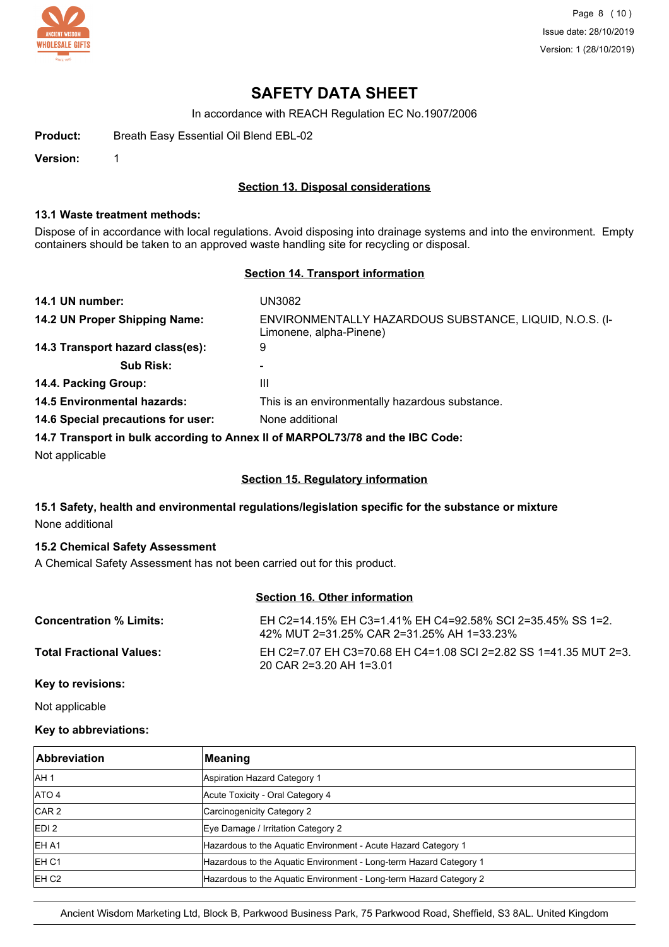

Page 8 (10) Issue date: 28/10/2019 Version: 1 (28/10/2019)

# **SAFETY DATA SHEET**

In accordance with REACH Regulation EC No.1907/2006

**Product:** Breath Easy Essential Oil Blend EBL-02

**Version:** 1

#### **Section 13. Disposal considerations**

#### **13.1 Waste treatment methods:**

Dispose of in accordance with local regulations. Avoid disposing into drainage systems and into the environment. Empty containers should be taken to an approved waste handling site for recycling or disposal.

#### **Section 14. Transport information**

| 14.1 UN number:                    | UN3082                                                                             |
|------------------------------------|------------------------------------------------------------------------------------|
| 14.2 UN Proper Shipping Name:      | ENVIRONMENTALLY HAZARDOUS SUBSTANCE, LIQUID, N.O.S. (I-<br>Limonene, alpha-Pinene) |
| 14.3 Transport hazard class(es):   | 9                                                                                  |
| <b>Sub Risk:</b>                   | $\blacksquare$                                                                     |
| 14.4. Packing Group:               | Ш                                                                                  |
| <b>14.5 Environmental hazards:</b> | This is an environmentally hazardous substance.                                    |
| 14.6 Special precautions for user: | None additional                                                                    |
|                                    | 14.7 Transport in bulk according to Annoy II of MADDOI 72/78 and the IBC Code:     |

**14.7 Transport in bulk according to Annex II of MARPOL73/78 and the IBC Code:**

Not applicable

### **Section 15. Regulatory information**

## **15.1 Safety, health and environmental regulations/legislation specific for the substance or mixture** None additional

#### **15.2 Chemical Safety Assessment**

A Chemical Safety Assessment has not been carried out for this product.

## **Section 16. Other information**

| <b>Concentration % Limits:</b>  | EH C2=14.15% EH C3=1.41% EH C4=92.58% SCI 2=35.45% SS 1=2.<br>42% MUT 2=31.25% CAR 2=31.25% AH 1=33.23% |
|---------------------------------|---------------------------------------------------------------------------------------------------------|
| <b>Total Fractional Values:</b> | EH C2=7.07 EH C3=70.68 EH C4=1.08 SCI 2=2.82 SS 1=41.35 MUT 2=3.<br>20 CAR 2=3.20 AH 1=3.01             |

## **Key to revisions:**

Not applicable

#### **Key to abbreviations:**

| Abbreviation      | Meaning                                                            |
|-------------------|--------------------------------------------------------------------|
| IAH <sub>1</sub>  | Aspiration Hazard Category 1                                       |
| ATO 4             | Acute Toxicity - Oral Category 4                                   |
| CAR <sub>2</sub>  | Carcinogenicity Category 2                                         |
| EDI <sub>2</sub>  | Eye Damage / Irritation Category 2                                 |
| <b>EHA1</b>       | Hazardous to the Aquatic Environment - Acute Hazard Category 1     |
| IEH <sub>C1</sub> | Hazardous to the Aquatic Environment - Long-term Hazard Category 1 |
| EH C <sub>2</sub> | Hazardous to the Aquatic Environment - Long-term Hazard Category 2 |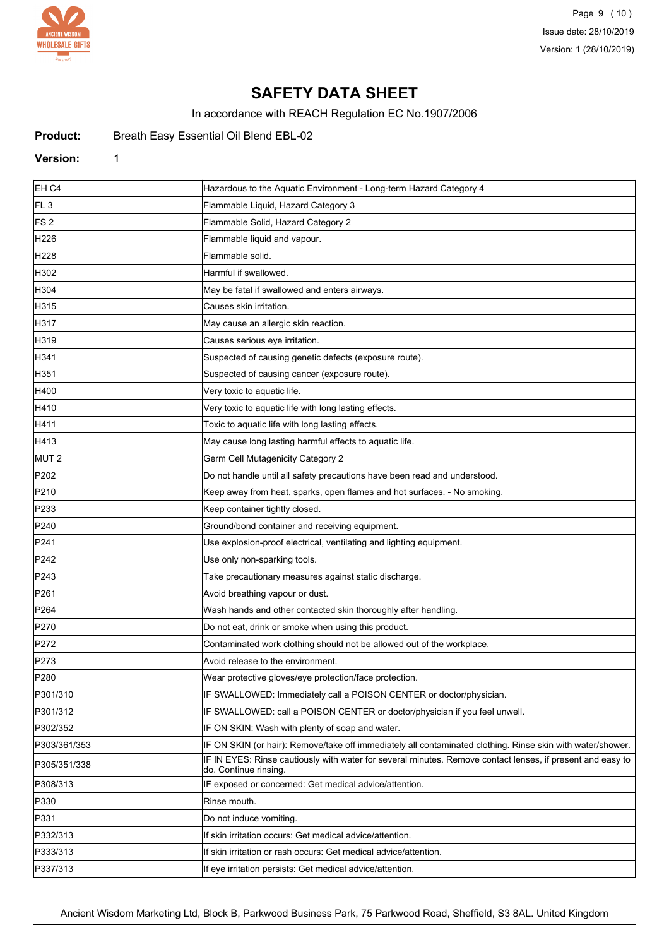

Page 9 (10) Issue date: 28/10/2019 Version: 1 (28/10/2019)

# **SAFETY DATA SHEET**

In accordance with REACH Regulation EC No.1907/2006

Product: Breath Easy Essential Oil Blend EBL-02

#### **Version:** 1

| EH C4            | Hazardous to the Aquatic Environment - Long-term Hazard Category 4                                                                  |
|------------------|-------------------------------------------------------------------------------------------------------------------------------------|
| FL <sub>3</sub>  | Flammable Liquid, Hazard Category 3                                                                                                 |
| FS 2             | Flammable Solid, Hazard Category 2                                                                                                  |
| H226             | Flammable liquid and vapour.                                                                                                        |
| H228             | Flammable solid.                                                                                                                    |
| H302             | Harmful if swallowed.                                                                                                               |
| H304             | May be fatal if swallowed and enters airways.                                                                                       |
| H315             | Causes skin irritation.                                                                                                             |
| H317             | May cause an allergic skin reaction.                                                                                                |
| H319             | Causes serious eye irritation.                                                                                                      |
| H341             | Suspected of causing genetic defects (exposure route).                                                                              |
| H351             | Suspected of causing cancer (exposure route).                                                                                       |
| H400             | Very toxic to aquatic life.                                                                                                         |
| H410             | Very toxic to aquatic life with long lasting effects.                                                                               |
| H411             | Toxic to aquatic life with long lasting effects.                                                                                    |
| H413             | May cause long lasting harmful effects to aquatic life.                                                                             |
| MUT <sub>2</sub> | Germ Cell Mutagenicity Category 2                                                                                                   |
| P202             | Do not handle until all safety precautions have been read and understood.                                                           |
| P210             | Keep away from heat, sparks, open flames and hot surfaces. - No smoking.                                                            |
| P233             | Keep container tightly closed.                                                                                                      |
| P240             | Ground/bond container and receiving equipment.                                                                                      |
| P241             | Use explosion-proof electrical, ventilating and lighting equipment.                                                                 |
| P242             | Use only non-sparking tools.                                                                                                        |
| P243             | Take precautionary measures against static discharge.                                                                               |
| P261             | Avoid breathing vapour or dust.                                                                                                     |
| P <sub>264</sub> | Wash hands and other contacted skin thoroughly after handling.                                                                      |
| P270             | Do not eat, drink or smoke when using this product.                                                                                 |
| P272             | Contaminated work clothing should not be allowed out of the workplace.                                                              |
| P273             | Avoid release to the environment.                                                                                                   |
| P280             | Wear protective gloves/eye protection/face protection.                                                                              |
| P301/310         | IF SWALLOWED: Immediately call a POISON CENTER or doctor/physician.                                                                 |
| P301/312         | IF SWALLOWED: call a POISON CENTER or doctor/physician if you feel unwell.                                                          |
| P302/352         | IF ON SKIN: Wash with plenty of soap and water.                                                                                     |
| P303/361/353     | IF ON SKIN (or hair): Remove/take off immediately all contaminated clothing. Rinse skin with water/shower.                          |
| P305/351/338     | IF IN EYES: Rinse cautiously with water for several minutes. Remove contact lenses, if present and easy to<br>do. Continue rinsing. |
| P308/313         | IF exposed or concerned: Get medical advice/attention.                                                                              |
| P330             | Rinse mouth.                                                                                                                        |
| P331             | Do not induce vomiting.                                                                                                             |
| P332/313         | If skin irritation occurs: Get medical advice/attention.                                                                            |
| P333/313         | If skin irritation or rash occurs: Get medical advice/attention.                                                                    |
| P337/313         | If eye irritation persists: Get medical advice/attention.                                                                           |